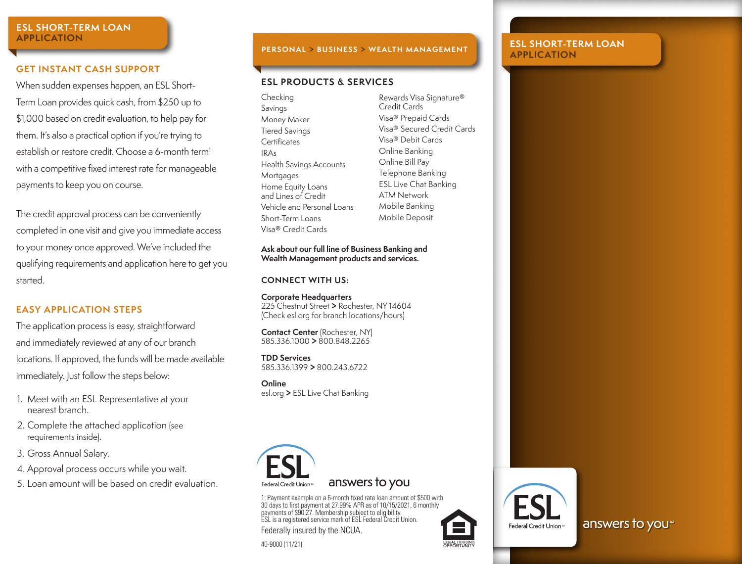### **ESL SHORT-TERM LOAN APPLICATION**

## **GET INSTANT CASH SUPPORT**

When sudden expenses happen, an ESL Short-Term Loan provides quick cash, from \$250 up to \$1,000 based on credit evaluation, to help pay for them. It's also a practical option if you're trying to establish or restore credit. Choose a 6-month term<sup>1</sup> with a competitive fixed interest rate for manageable payments to keep you on course.

The credit approval process can be conveniently completed in one visit and give you immediate access to your money once approved. We've included the qualifying requirements and application here to get you started.

## **EASY APPLICATION STEPS**

The application process is easy, straightforward and immediately reviewed at any of our branch locations. If approved, the funds will be made available immediately. Just follow the steps below:

- 1. Meet with an ESL Representative at your nearest branch.
- 2. Complete the attached application (see requirements inside).
- 3. Gross Annual Salary.
- 4. Approval process occurs while you wait.
- 5. Loan amount will be based on credit evaluation.

# **PERSONAL > BUSINESS > WEALTH MANAGEMENT | APPLICATION**

## **ESL PRODUCTS & SERVICES**

Checking Savings Money Maker Tiered Savings **Certificates** IRAs Health Savings Accounts **Mortgages** Home Equity Loans and Lines of Credit Vehicle and Personal Loans Short-Term Loans Visa® Credit Cards

Rewards Visa Signature® Credit Cards Visa® Prepaid Cards Visa® Secured Credit Cards Visa® Debit Cards Online Banking Online Bill Pay Telephone Banking ESL Live Chat Banking ATM Network Mobile Banking Mobile Deposit

#### **Ask about our full line of Business Banking and Wealth Management products and services.**

### **CONNECT WITH US:**

**Corporate Headquarters** 225 Chestnut Street **>** Rochester, NY 14604 (Check esl.org for branch locations/hours)

**Contact Center** (Rochester, NY) 585.336.1000 **>** 800.848.2265

**TDD Services** 585.336.1399 **>** 800.243.6722

**Online** esl.org **>** ESL Live Chat Banking



# answers to you

1: Payment example on a 6-month fixed rate loan amount of \$500 with 30 days to first payment at 27.99% APR as of 10/15/2021, 6 monthly payments of \$90.27. Membership subject to eligibility. ESL is a registered service mark of ESL Federal Credit Union. Federally insured by the NCUA.

40-9000 (11/21)



# **ESL SHORT-TERM LOAN**

Federal Credit Union »

answers to you<sup>\*</sup>